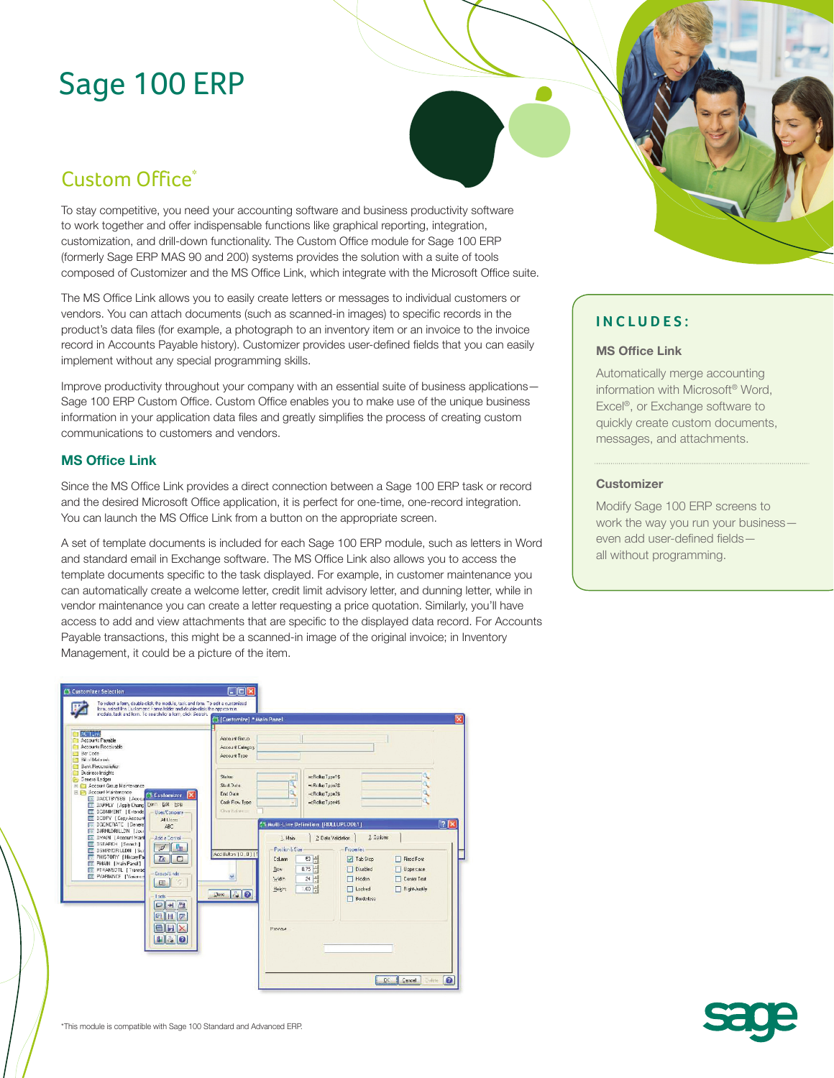# Sage 100 ERP

# Custom Office<sup>\*</sup>

To stay competitive, you need your accounting software and business productivity software to work together and offer indispensable functions like graphical reporting, integration, customization, and drill-down functionality. The Custom Office module for Sage 100 ERP (formerly Sage ERP MAS 90 and 200) systems provides the solution with a suite of tools composed of Customizer and the MS Office Link, which integrate with the Microsoft Office suite.

The MS Office Link allows you to easily create letters or messages to individual customers or vendors. You can attach documents (such as scanned-in images) to specific records in the product's data files (for example, a photograph to an inventory item or an invoice to the invoice record in Accounts Payable history). Customizer provides user-defined fields that you can easily implement without any special programming skills.

Improve productivity throughout your company with an essential suite of business applications— Sage 100 ERP Custom Office. Custom Office enables you to make use of the unique business information in your application data files and greatly simplifies the process of creating custom communications to customers and vendors.

#### **MS Office Link**

Since the MS Office Link provides a direct connection between a Sage 100 ERP task or record and the desired Microsoft Office application, it is perfect for one-time, one-record integration. You can launch the MS Office Link from a button on the appropriate screen.

A set of template documents is included for each Sage 100 ERP module, such as letters in Word and standard email in Exchange software. The MS Office Link also allows you to access the template documents specific to the task displayed. For example, in customer maintenance you can automatically create a welcome letter, credit limit advisory letter, and dunning letter, while in vendor maintenance you can create a letter requesting a price quotation. Similarly, you'll have access to add and view attachments that are specific to the displayed data record. For Accounts Payable transactions, this might be a scanned-in image of the original invoice; in Inventory Management, it could be a picture of the item.



### **INCLUDES:**

#### **MS Office Link**

Automatically merge accounting information with Microsoft® Word, Excel®, or Exchange software to quickly create custom documents, messages, and attachments.

#### **Customizer**

Modify Sage 100 ERP screens to work the way you run your business even add user-defined fields all without programming.